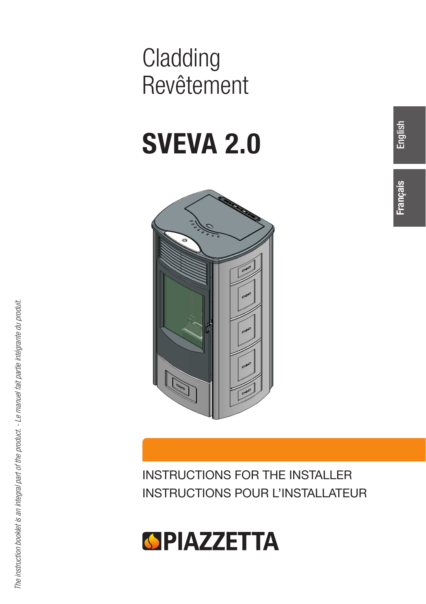

**SVEVA 2.0**

Revêtement

**Cladding** 



### INSTRUCTIONS FOR THE INSTALLER INSTRUCTIONS POUR L'INSTALLATEUR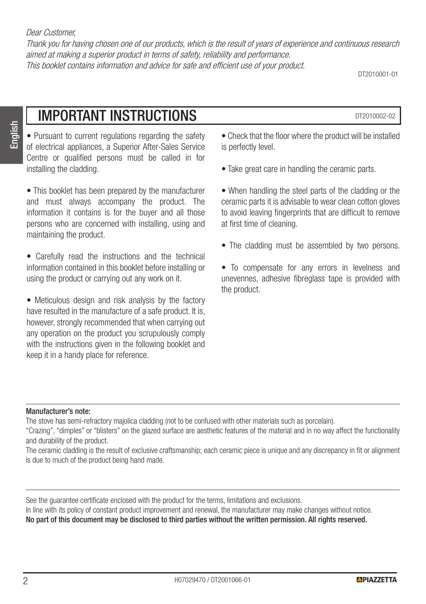Thank you for having chosen one of our products, which is the result of years of experience and continuous research aimed at making a superior product in terms of safety, reliability and performance. This booklet contains information and advice for safe and efficient use of your product.

DT2010001-01

DT2010002-02

English

### IMPORTANT INSTRUCTIONS

- Pursuant to current regulations regarding the safety of electrical appliances, a Superior After-Sales Service Centre or qualified persons must be called in for installing the cladding.
- This booklet has been prepared by the manufacturer and must always accompany the product. The information it contains is for the buyer and all those persons who are concerned with installing, using and maintaining the product.
- Carefully read the instructions and the technical information contained in this booklet before installing or using the product or carrying out any work on it.
- Meticulous design and risk analysis by the factory have resulted in the manufacture of a safe product. It is, however, strongly recommended that when carrying out any operation on the product you scrupulously comply with the instructions given in the following booklet and keep it in a handy place for reference.
- Check that the floor where the product will be installed is perfectly level.
- Take great care in handling the ceramic parts.
- When handling the steel parts of the cladding or the ceramic parts it is advisable to wear clean cotton gloves to avoid leaving fingerprints that are difficult to remove at first time of cleaning.
- The cladding must be assembled by two persons.
- To compensate for any errors in levelness and unevennes, adhesive fibreglass tape is provided with the product.

### Manufacturer's note:

The stove has semi-refractory majolica cladding (not to be confused with other materials such as porcelain).

"Crazing", "dimples" or "blisters" on the glazed surface are aesthetic features of the material and in no way affect the functionality and durability of the product.

The ceramic cladding is the result of exclusive craftsmanship; each ceramic piece is unique and any discrepancy in fit or alignment is due to much of the product being hand made.

See the guarantee certificate enclosed with the product for the terms, limitations and exclusions. In line with its policy of constant product improvement and renewal, the manufacturer may make changes without notice. No part of this document may be disclosed to third parties without the written permission. All rights reserved.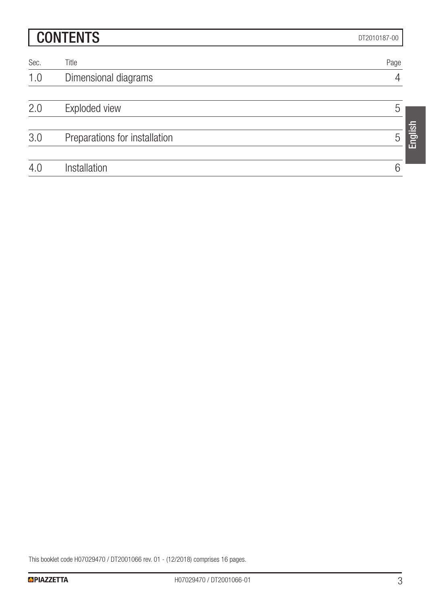# **CONTENTS**

English

| Sec. | Title                         | Page |
|------|-------------------------------|------|
| 1.0  | Dimensional diagrams          |      |
| 2.0  | Exploded view                 | h.   |
| 3.0  | Preparations for installation | 5    |
| 4.0  | Installation                  | հ    |

This booklet code H07029470 / DT2001066 rev. 01 - (12/2018) comprises 16 pages.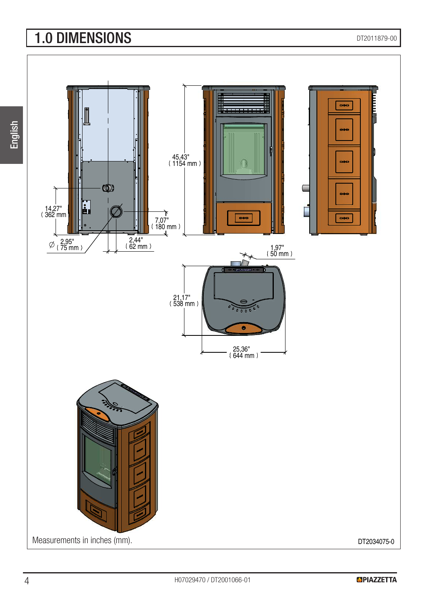# **1.0 DIMENSIONS** DT2011879-00

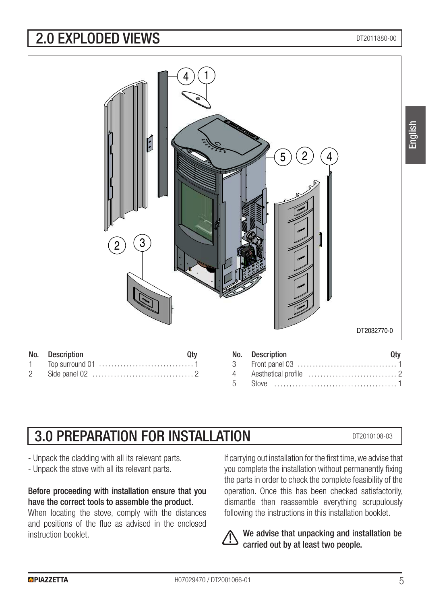## 2.0 EXPLODED VIEWS

| If carrying out installation for the first time, we advise that |  |  |  |  |
|-----------------------------------------------------------------|--|--|--|--|
| you complete the installation without permanently fixing        |  |  |  |  |
| the parts in order to check the complete feasibility of the     |  |  |  |  |
| operation. Once this has been checked satisfactorily,           |  |  |  |  |
| dismantle then reassemble everything scrupulously               |  |  |  |  |
| following the instructions in this installation booklet.        |  |  |  |  |
|                                                                 |  |  |  |  |



DT2010108-03

| No. Description | 0tv | No. Description | 0tv |
|-----------------|-----|-----------------|-----|
|                 |     |                 |     |
|                 |     |                 |     |
|                 |     |                 |     |

# 3.0 PREPARATION FOR INSTALLATION

2 3

- Unpack the cladding with all its relevant parts.

Before proceeding with installation ensure that you have the correct tools to assemble the product.

- Unpack the stove with all its relevant parts.

instruction booklet.

When locating the stove, comply with the distances and positions of the flue as advised in the enclosed We advise that unpacking and installation be



 $(5)(2)(4)$ 

 $4)(1$ 

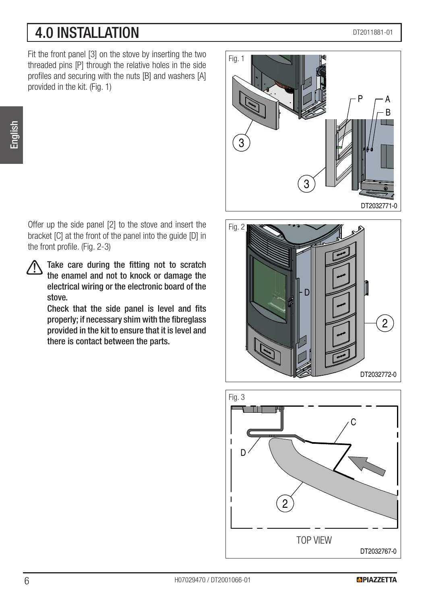# 4.0 INSTALLATION

Fit the front panel [3] on the stove by inserting the two threaded pins [P] through the relative holes in the side profiles and securing with the nuts [B] and washers [A] provided in the kit. (Fig. 1)



Offer up the side panel [2] to the stove and insert the bracket [C] at the front of the panel into the guide [D] in the front profile. (Fig. 2-3)

Take care during the fitting not to scratch the enamel and not to knock or damage the electrical wiring or the electronic board of the stove.

Check that the side panel is level and fits properly; if necessary shim with the fibreglass provided in the kit to ensure that it is level and there is contact between the parts.





English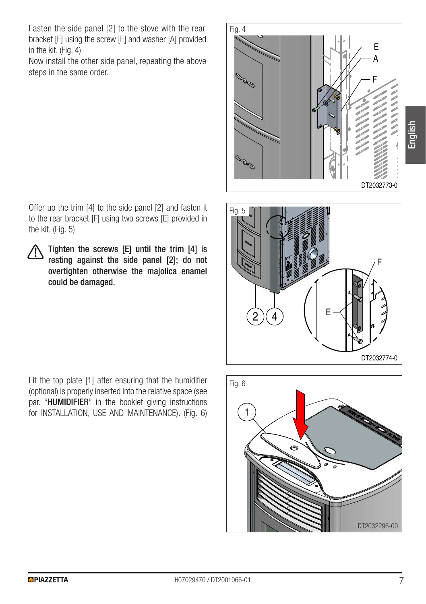Fasten the side panel [2] to the stove with the rear bracket [F] using the screw [E] and washer [A] provided in the kit. (Fig. 4)

Now install the other side panel, repeating the above steps in the same order.



Tighten the screws [E] until the trim [4] is resting against the side panel [2]; do not overtighten otherwise the majolica enamel could be damaged.





Fit the top plate [1] after ensuring that the humidifier (optional) is properly inserted into the relative space (see par. "HUMIDIFIER" in the booklet giving instructions for INSTALLATION, USE AND MAINTENANCE). (Fig. 6)

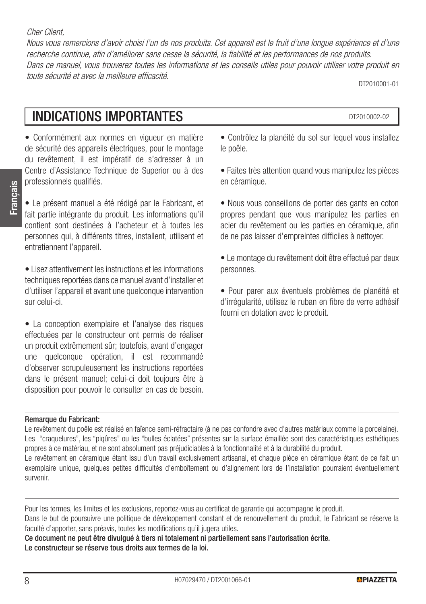#### Cher Client,

Nous vous remercions d'avoir choisi l'un de nos produits. Cet appareil est le fruit d'une longue expérience et d'une recherche continue, afin d'améliorer sans cesse la sécurité, la fiabilité et les performances de nos produits. Dans ce manuel, vous trouverez toutes les informations et les conseils utiles pour pouvoir utiliser votre produit en toute sécurité et avec la meilleure efficacité.

DT2010001-01

DT2010002-02

### INDICATIONS IMPORTANTES

• Conformément aux normes en vigueur en matière de sécurité des appareils électriques, pour le montage du revêtement, il est impératif de s'adresser à un Centre d'Assistance Technique de Superior ou à des professionnels qualifiés.

• Le présent manuel a été rédigé par le Fabricant, et fait partie intégrante du produit. Les informations qu'il contient sont destinées à l'acheteur et à toutes les personnes qui, à différents titres, installent, utilisent et entretiennent l'appareil.

• Lisez attentivement les instructions et les informations techniques reportées dans ce manuel avant d'installer et d'utiliser l'appareil et avant une quelconque intervention sur celui-ci.

• La conception exemplaire et l'analyse des risques effectuées par le constructeur ont permis de réaliser un produit extrêmement sûr; toutefois, avant d'engager une quelconque opération, il est recommandé d'observer scrupuleusement les instructions reportées dans le présent manuel; celui-ci doit toujours être à disposition pour pouvoir le consulter en cas de besoin.

• Contrôlez la planéité du sol sur lequel vous installez le poêle.

• Faites très attention quand vous manipulez les pièces en céramique.

• Nous vous conseillons de porter des gants en coton propres pendant que vous manipulez les parties en acier du revêtement ou les parties en céramique, afin de ne pas laisser d'empreintes difficiles à nettoyer.

• Le montage du revêtement doit être effectué par deux personnes.

• Pour parer aux éventuels problèmes de planéité et d'irrégularité, utilisez le ruban en fibre de verre adhésif fourni en dotation avec le produit.

#### Remarque du Fabricant:

Le revêtement du poêle est réalisé en faïence semi-réfractaire (à ne pas confondre avec d'autres matériaux comme la porcelaine). Les "craquelures", les "piqûres" ou les "bulles éclatées" présentes sur la surface émaillée sont des caractéristiques esthétiques propres à ce matériau, et ne sont absolument pas préjudiciables à la fonctionnalité et à la durabilité du produit.

Le revêtement en céramique étant issu d'un travail exclusivement artisanal, et chaque pièce en céramique étant de ce fait un exemplaire unique, quelques petites difficultés d'emboîtement ou d'alignement lors de l'installation pourraient éventuellement survenir.

Pour les termes, les limites et les exclusions, reportez-vous au certificat de garantie qui accompagne le produit.

Dans le but de poursuivre une politique de développement constant et de renouvellement du produit, le Fabricant se réserve la faculté d'apporter, sans préavis, toutes les modifications qu'il jugera utiles.

Ce document ne peut être divulgué à tiers ni totalement ni partiellement sans l'autorisation écrite. Le constructeur se réserve tous droits aux termes de la loi.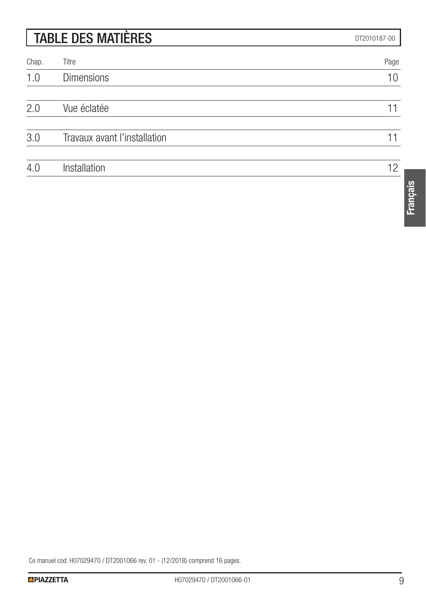| <b>TABLE DES MATIÈRES</b> |                              |      |
|---------------------------|------------------------------|------|
| Chap.                     | Titre                        | Page |
|                           |                              |      |
| 1.0                       | <b>Dimensions</b>            | 10   |
|                           |                              |      |
| 2.0                       | Vue éclatée                  | 11   |
|                           |                              |      |
| 3.0                       | Travaux avant l'installation | 11   |
|                           |                              |      |
| 4.0                       | Installation                 | 12   |
|                           |                              |      |

Ce manuel cod. H07029470 / DT2001066 rev. 01 - (12/2018) comprend 16 pages.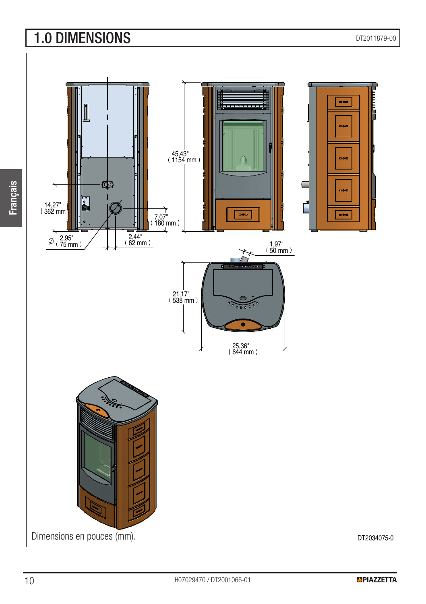# **1.0 DIMENSIONS** DT2011879-00



H07029470 / DT2001066-01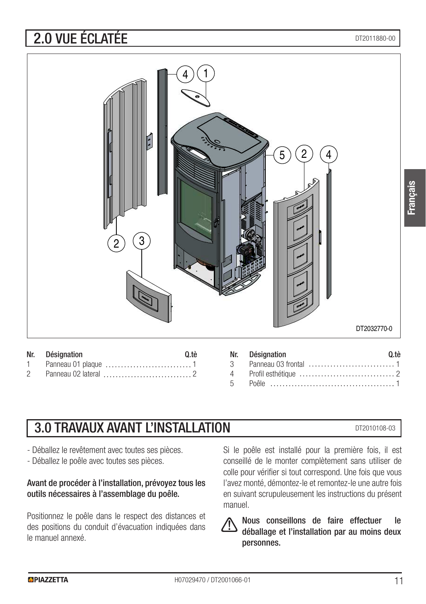## 2.0 VUE ÉCLATÉE



|   | Nr. Désignation | 0.tè |
|---|-----------------|------|
|   |                 |      |
| 2 |                 |      |

| Nr. Désianation | 0.tè |
|-----------------|------|
|                 |      |
|                 |      |
|                 |      |

### 3.0 TRAVAUX AVANT L'INSTALLATION

|  |  |  | - Déballez le revêtement avec toutes ses pièces. |  |  |  |  |
|--|--|--|--------------------------------------------------|--|--|--|--|
|--|--|--|--------------------------------------------------|--|--|--|--|

- Déballez le poêle avec toutes ses pièces.

### Avant de procéder à l'installation, prévoyez tous les outils nécessaires à l'assemblage du poêle.

Positionnez le poêle dans le respect des distances et des positions du conduit d'évacuation indiquées dans le manuel annexé.

Si le poêle est installé pour la première fois, il est conseillé de le monter complètement sans utiliser de colle pour vérifier si tout correspond. Une fois que vous l'avez monté, démontez-le et remontez-le une autre fois en suivant scrupuleusement les instructions du présent manuel.



### Nous conseillons de faire effectuer le déballage et l'installation par au moins deux personnes.

DT2010108-03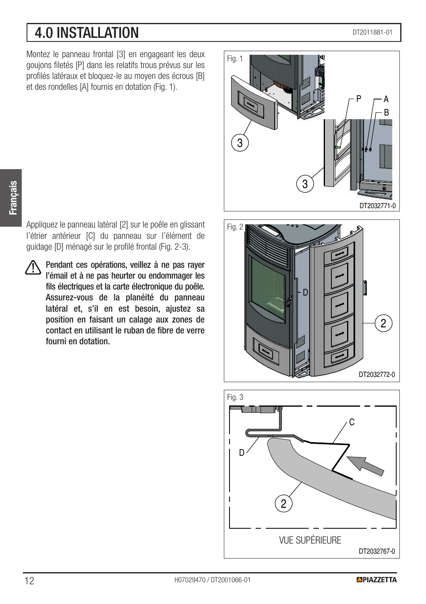# **4.0 INSTALLATION** DT2011881-01

Montez le panneau frontal [3] en engageant les deux goujons filetés [P] dans les relatifs trous prévus sur les profilés latéraux et bloquez-le au moyen des écrous [B] et des rondelles [A] fournis en dotation (Fig. 1).







Appliquez le panneau latéral [2] sur le poêle en glissant l'étrier antérieur [C] du panneau sur l'élément de guidage [D] ménagé sur le profilé frontal (Fig. 2-3).

Pendant ces opérations, veillez à ne pas rayer l'émail et à ne pas heurter ou endommager les fils électriques et la carte électronique du poêle. Assurez-vous de la planéité du panneau latéral et, s'il en est besoin, ajustez sa position en faisant un calage aux zones de contact en utilisant le ruban de fibre de verre fourni en dotation.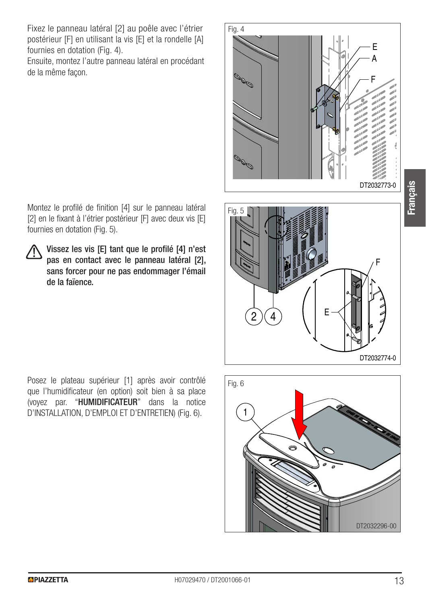Fixez le panneau latéral [2] au poêle avec l'étrier postérieur [F] en utilisant la vis [E] et la rondelle [A] fournies en dotation (Fig. 4).

Ensuite, montez l'autre panneau latéral en procédant de la même façon.

Montez le profilé de finition [4] sur le panneau latéral [2] en le fixant à l'étrier postérieur [F] avec deux vis [E] fournies en dotation (Fig. 5).

Vissez les vis [E] tant que le profilé [4] n'est pas en contact avec le panneau latéral [2], sans forcer pour ne pas endommager l'émail de la faïence.





Posez le plateau supérieur [1] après avoir contrôlé que l'humidificateur (en option) soit bien à sa place (voyez par. "HUMIDIFICATEUR" dans la notice D'INSTALLATION, D'EMPLOI ET D'ENTRETIEN) (Fig. 6).

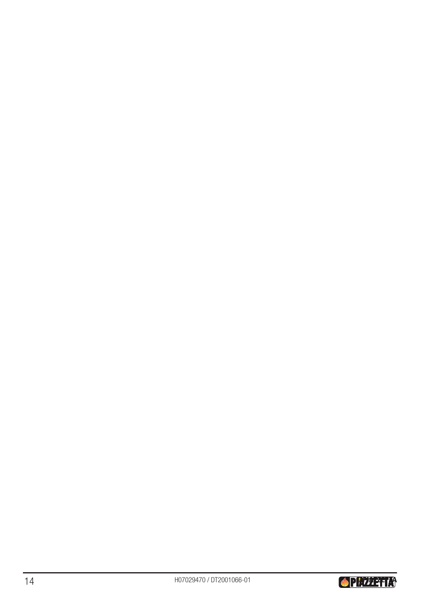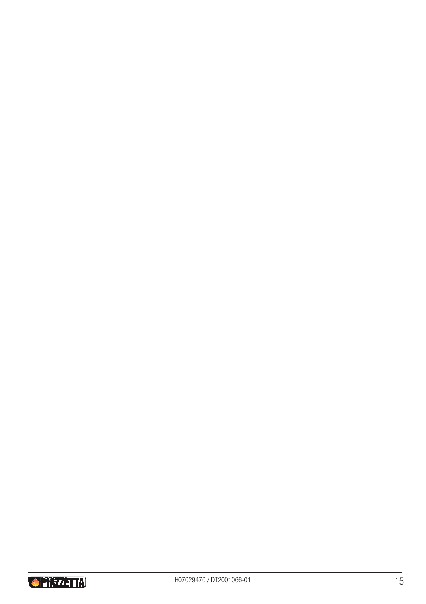